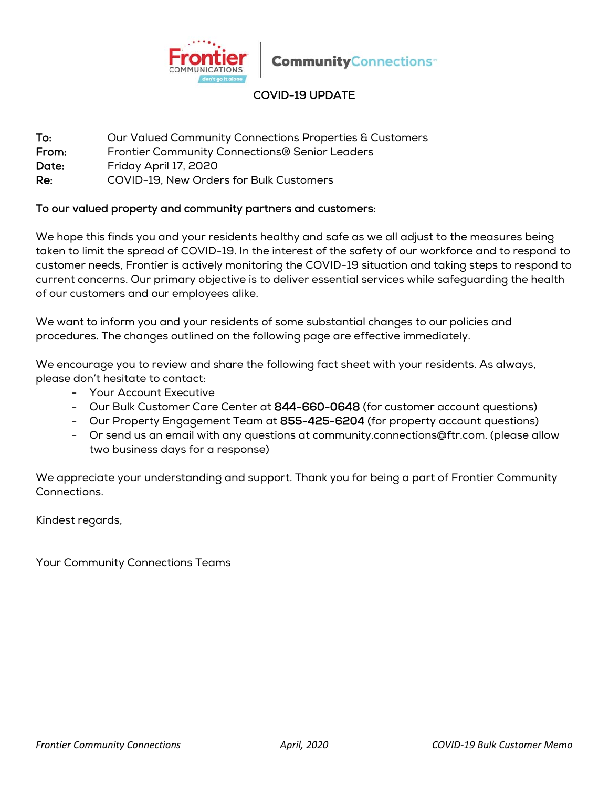

# COVID-19 UPDATE

To: Our Valued Community Connections Properties & Customers

From: Frontier Community Connections® Senior Leaders

Date: Friday April 17, 2020

Re: COVID-19, New Orders for Bulk Customers

#### To our valued property and community partners and customers:

We hope this finds you and your residents healthy and safe as we all adjust to the measures being taken to limit the spread of COVID-19. In the interest of the safety of our workforce and to respond to customer needs, Frontier is actively monitoring the COVID-19 situation and taking steps to respond to current concerns. Our primary objective is to deliver essential services while safeguarding the health of our customers and our employees alike.

We want to inform you and your residents of some substantial changes to our policies and procedures. The changes outlined on the following page are effective immediately.

We encourage you to review and share the following fact sheet with your residents. As always, please don't hesitate to contact:

- Your Account Executive
- Our Bulk Customer Care Center at 844-660-0648 (for customer account questions)
- Our Property Engagement Team at 855-425-6204 (for property account questions)
- Or send us an email with any questions at community.connections@ftr.com. (please allow two business days for a response)

We appreciate your understanding and support. Thank you for being a part of Frontier Community Connections.

Kindest regards,

Your Community Connections Teams